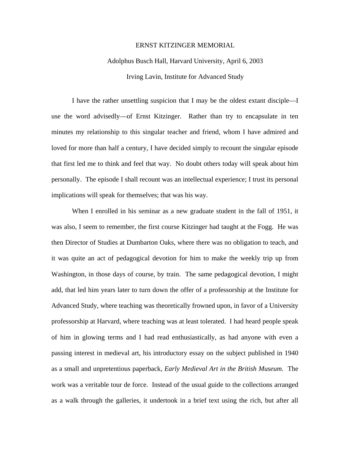## ERNST KITZINGER MEMORIAL

## Adolphus Busch Hall, Harvard University, April 6, 2003 Irving Lavin, Institute for Advanced Study

I have the rather unsettling suspicion that I may be the oldest extant disciple—I use the word advisedly—of Ernst Kitzinger. Rather than try to encapsulate in ten minutes my relationship to this singular teacher and friend, whom I have admired and loved for more than half a century, I have decided simply to recount the singular episode that first led me to think and feel that way. No doubt others today will speak about him personally. The episode I shall recount was an intellectual experience; I trust its personal implications will speak for themselves; that was his way.

When I enrolled in his seminar as a new graduate student in the fall of 1951, it was also, I seem to remember, the first course Kitzinger had taught at the Fogg. He was then Director of Studies at Dumbarton Oaks, where there was no obligation to teach, and it was quite an act of pedagogical devotion for him to make the weekly trip up from Washington, in those days of course, by train. The same pedagogical devotion, I might add, that led him years later to turn down the offer of a professorship at the Institute for Advanced Study, where teaching was theoretically frowned upon, in favor of a University professorship at Harvard, where teaching was at least tolerated. I had heard people speak of him in glowing terms and I had read enthusiastically, as had anyone with even a passing interest in medieval art, his introductory essay on the subject published in 1940 as a small and unpretentious paperback, *Early Medieval Art in the British Museum.* The work was a veritable tour de force. Instead of the usual guide to the collections arranged as a walk through the galleries, it undertook in a brief text using the rich, but after all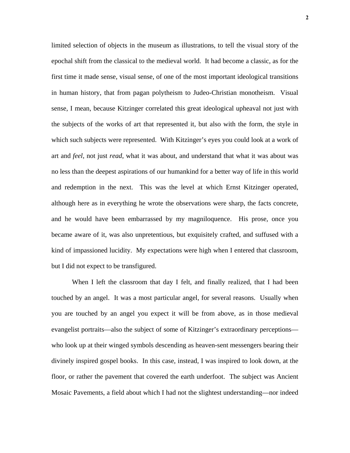limited selection of objects in the museum as illustrations, to tell the visual story of the epochal shift from the classical to the medieval world. It had become a classic, as for the first time it made sense, visual sense, of one of the most important ideological transitions in human history, that from pagan polytheism to Judeo-Christian monotheism. Visual sense, I mean, because Kitzinger correlated this great ideological upheaval not just with the subjects of the works of art that represented it, but also with the form, the style in which such subjects were represented. With Kitzinger's eyes you could look at a work of art and *feel*, not just *read*, what it was about, and understand that what it was about was no less than the deepest aspirations of our humankind for a better way of life in this world and redemption in the next. This was the level at which Ernst Kitzinger operated, although here as in everything he wrote the observations were sharp, the facts concrete, and he would have been embarrassed by my magniloquence. His prose, once you became aware of it, was also unpretentious, but exquisitely crafted, and suffused with a kind of impassioned lucidity. My expectations were high when I entered that classroom, but I did not expect to be transfigured.

When I left the classroom that day I felt, and finally realized, that I had been touched by an angel. It was a most particular angel, for several reasons. Usually when you are touched by an angel you expect it will be from above, as in those medieval evangelist portraits—also the subject of some of Kitzinger's extraordinary perceptions who look up at their winged symbols descending as heaven-sent messengers bearing their divinely inspired gospel books. In this case, instead, I was inspired to look down, at the floor, or rather the pavement that covered the earth underfoot. The subject was Ancient Mosaic Pavements, a field about which I had not the slightest understanding—nor indeed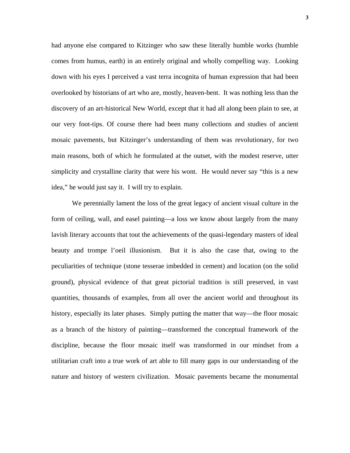had anyone else compared to Kitzinger who saw these literally humble works (humble comes from humus, earth) in an entirely original and wholly compelling way. Looking down with his eyes I perceived a vast terra incognita of human expression that had been overlooked by historians of art who are, mostly, heaven-bent. It was nothing less than the discovery of an art-historical New World, except that it had all along been plain to see, at our very foot-tips. Of course there had been many collections and studies of ancient mosaic pavements, but Kitzinger's understanding of them was revolutionary, for two main reasons, both of which he formulated at the outset, with the modest reserve, utter simplicity and crystalline clarity that were his wont. He would never say "this is a new idea," he would just say it. I will try to explain.

 We perennially lament the loss of the great legacy of ancient visual culture in the form of ceiling, wall, and easel painting—a loss we know about largely from the many lavish literary accounts that tout the achievements of the quasi-legendary masters of ideal beauty and trompe l'oeil illusionism. But it is also the case that, owing to the peculiarities of technique (stone tesserae imbedded in cement) and location (on the solid ground), physical evidence of that great pictorial tradition is still preserved, in vast quantities, thousands of examples, from all over the ancient world and throughout its history, especially its later phases. Simply putting the matter that way—the floor mosaic as a branch of the history of painting—transformed the conceptual framework of the discipline, because the floor mosaic itself was transformed in our mindset from a utilitarian craft into a true work of art able to fill many gaps in our understanding of the nature and history of western civilization. Mosaic pavements became the monumental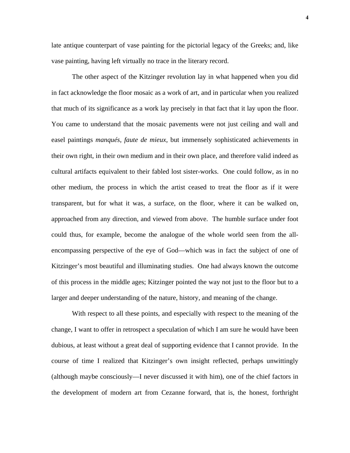late antique counterpart of vase painting for the pictorial legacy of the Greeks; and, like vase painting, having left virtually no trace in the literary record.

 The other aspect of the Kitzinger revolution lay in what happened when you did in fact acknowledge the floor mosaic as a work of art, and in particular when you realized that much of its significance as a work lay precisely in that fact that it lay upon the floor. You came to understand that the mosaic pavements were not just ceiling and wall and easel paintings *manqués*, *faute de mieux*, but immensely sophisticated achievements in their own right, in their own medium and in their own place, and therefore valid indeed as cultural artifacts equivalent to their fabled lost sister-works. One could follow, as in no other medium, the process in which the artist ceased to treat the floor as if it were transparent, but for what it was, a surface, on the floor, where it can be walked on, approached from any direction, and viewed from above. The humble surface under foot could thus, for example, become the analogue of the whole world seen from the allencompassing perspective of the eye of God—which was in fact the subject of one of Kitzinger's most beautiful and illuminating studies. One had always known the outcome of this process in the middle ages; Kitzinger pointed the way not just to the floor but to a larger and deeper understanding of the nature, history, and meaning of the change.

With respect to all these points, and especially with respect to the meaning of the change, I want to offer in retrospect a speculation of which I am sure he would have been dubious, at least without a great deal of supporting evidence that I cannot provide. In the course of time I realized that Kitzinger's own insight reflected, perhaps unwittingly (although maybe consciously—I never discussed it with him), one of the chief factors in the development of modern art from Cezanne forward, that is, the honest, forthright